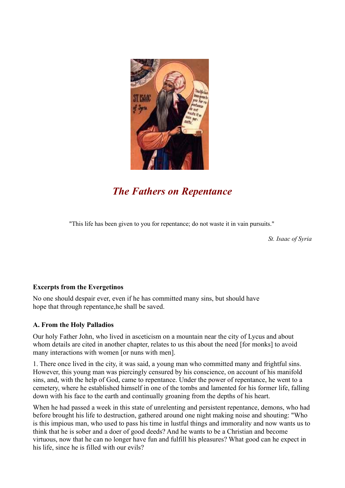

# *The Fathers on Repentance*

"This life has been given to you for repentance; do not waste it in vain pursuits."

 *St. Isaac of Syria*

# **Excerpts from the Evergetinos**

No one should despair ever, even if he has committed many sins, but should have hope that through repentance,he shall be saved.

# **A. From the Holy Palladios**

Our holy Father John, who lived in asceticism on a mountain near the city of Lycus and about whom details are cited in another chapter, relates to us this about the need [for monks] to avoid many interactions with women [or nuns with men].

1. There once lived in the city, it was said, a young man who committed many and frightful sins. However, this young man was piercingly censured by his conscience, on account of his manifold sins, and, with the help of God, came to repentance. Under the power of repentance, he went to a cemetery, where he established himself in one of the tombs and lamented for his former life, falling down with his face to the earth and continually groaning from the depths of his heart.

When he had passed a week in this state of unrelenting and persistent repentance, demons, who had before brought his life to destruction, gathered around one night making noise and shouting: "Who is this impious man, who used to pass his time in lustful things and immorality and now wants us to think that he is sober and a doer of good deeds? And he wants to be a Christian and become virtuous, now that he can no longer have fun and fulfill his pleasures? What good can he expect in his life, since he is filled with our evils?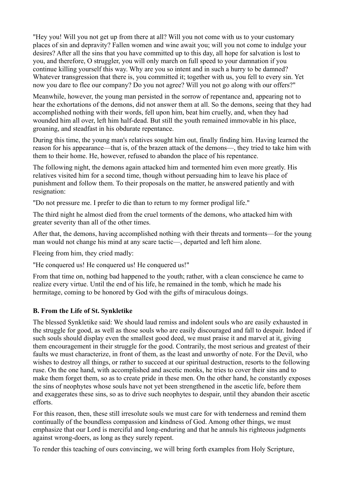"Hey you! Will you not get up from there at all? Will you not come with us to your customary places of sin and depravity? Fallen women and wine await you; will you not come to indulge your desires? After all the sins that you have committed up to this day, all hope for salvation is lost to you, and therefore, O struggler, you will only march on full speed to your damnation if you continue killing yourself this way. Why are you so intent and in such a hurry to be damned? Whatever transgression that there is, you committed it; together with us, you fell to every sin. Yet now you dare to flee our company? Do you not agree? Will you not go along with our offers?"

Meanwhile, however, the young man persisted in the sorrow of repentance and, appearing not to hear the exhortations of the demons, did not answer them at all. So the demons, seeing that they had accomplished nothing with their words, fell upon him, beat him cruelly, and, when they had wounded him all over, left him half-dead. But still the youth remained immovable in his place, groaning, and steadfast in his obdurate repentance.

During this time, the young man's relatives sought him out, finally finding him. Having learned the reason for his appearance—that is, of the brazen attack of the demons—, they tried to take him with them to their home. He, however, refused to abandon the place of his repentance.

The following night, the demons again attacked him and tormented him even more greatly. His relatives visited him for a second time, though without persuading him to leave his place of punishment and follow them. To their proposals on the matter, he answered patiently and with resignation:

"Do not pressure me. I prefer to die than to return to my former prodigal life."

The third night he almost died from the cruel torments of the demons, who attacked him with greater severity than all of the other times.

After that, the demons, having accomplished nothing with their threats and torments—for the young man would not change his mind at any scare tactic—, departed and left him alone.

Fleeing from him, they cried madly:

"He conquered us! He conquered us! He conquered us!"

From that time on, nothing bad happened to the youth; rather, with a clean conscience he came to realize every virtue. Until the end of his life, he remained in the tomb, which he made his hermitage, coming to be honored by God with the gifts of miraculous doings.

#### **B. From the Life of St. Synkletike**

The blessed Synkletike said: We should laud remiss and indolent souls who are easily exhausted in the struggle for good, as well as those souls who are easily discouraged and fall to despair. Indeed if such souls should display even the smallest good deed, we must praise it and marvel at it, giving them encouragement in their struggle for the good. Contrarily, the most serious and greatest of their faults we must characterize, in front of them, as the least and unworthy of note. For the Devil, who wishes to destroy all things, or rather to succeed at our spiritual destruction, resorts to the following ruse. On the one hand, with accomplished and ascetic monks, he tries to cover their sins and to make them forget them, so as to create pride in these men. On the other hand, he constantly exposes the sins of neophytes whose souls have not yet been strengthened in the ascetic life, before them and exaggerates these sins, so as to drive such neophytes to despair, until they abandon their ascetic efforts.

For this reason, then, these still irresolute souls we must care for with tenderness and remind them continually of the boundless compassion and kindness of God. Among other things, we must emphasize that our Lord is merciful and long-enduring and that he annuls his righteous judgments against wrong-doers, as long as they surely repent.

To render this teaching of ours convincing, we will bring forth examples from Holy Scripture,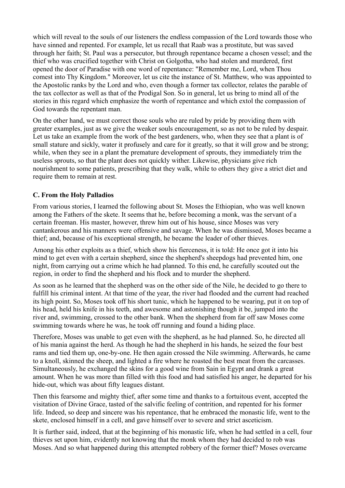which will reveal to the souls of our listeners the endless compassion of the Lord towards those who have sinned and repented. For example, let us recall that Raab was a prostitute, but was saved through her faith; St. Paul was a persecutor, but through repentance became a chosen vessel; and the thief who was crucified together with Christ on Golgotha, who had stolen and murdered, first opened the door of Paradise with one word of repentance: "Remember me, Lord, when Thou comest into Thy Kingdom." Moreover, let us cite the instance of St. Matthew, who was appointed to the Apostolic ranks by the Lord and who, even though a former tax collector, relates the parable of the tax collector as well as that of the Prodigal Son. So in general, let us bring to mind all of the stories in this regard which emphasize the worth of repentance and which extol the compassion of God towards the repentant man.

On the other hand, we must correct those souls who are ruled by pride by providing them with greater examples, just as we give the weaker souls encouragement, so as not to be ruled by despair. Let us take an example from the work of the best gardeners, who, when they see that a plant is of small stature and sickly, water it profusely and care for it greatly, so that it will grow and be strong; while, when they see in a plant the premature development of sprouts, they immediately trim the useless sprouts, so that the plant does not quickly wither. Likewise, physicians give rich nourishment to some patients, prescribing that they walk, while to others they give a strict diet and require them to remain at rest.

## **C. From the Holy Palladios**

From various stories, I learned the following about St. Moses the Ethiopian, who was well known among the Fathers of the skete. It seems that he, before becoming a monk, was the servant of a certain freeman. His master, however, threw him out of his house, since Moses was very cantankerous and his manners were offensive and savage. When he was dismissed, Moses became a thief; and, because of his exceptional strength, he became the leader of other thieves.

Among his other exploits as a thief, which show his fierceness, it is told: He once got it into his mind to get even with a certain shepherd, since the shepherd's sheepdogs had prevented him, one night, from carrying out a crime which he had planned. To this end, he carefully scouted out the region, in order to find the shepherd and his flock and to murder the shepherd.

As soon as he learned that the shepherd was on the other side of the Nile, he decided to go there to fulfill his criminal intent. At that time of the year, the river had flooded and the current had reached its high point. So, Moses took off his short tunic, which he happened to be wearing, put it on top of his head, held his knife in his teeth, and awesome and astonishing though it be, jumped into the river and, swimming, crossed to the other bank. When the shepherd from far off saw Moses come swimming towards where he was, he took off running and found a hiding place.

Therefore, Moses was unable to get even with the shepherd, as he had planned. So, he directed all of his mania against the herd. As though he had the shepherd in his hands, he seized the four best rams and tied them up, one-by-one. He then again crossed the Nile swimming. Afterwards, he came to a knoll, skinned the sheep, and lighted a fire where he roasted the best meat from the carcasses. Simultaneously, he exchanged the skins for a good wine from Sain in Egypt and drank a great amount. When he was more than filled with this food and had satisfied his anger, he departed for his hide-out, which was about fifty leagues distant.

Then this fearsome and mighty thief, after some time and thanks to a fortuitous event, accepted the visitation of Divine Grace, tasted of the salvific feeling of contrition, and repented for his former life. Indeed, so deep and sincere was his repentance, that he embraced the monastic life, went to the skete, enclosed himself in a cell, and gave himself over to severe and strict asceticism.

It is further said, indeed, that at the beginning of his monastic life, when he had settled in a cell, four thieves set upon him, evidently not knowing that the monk whom they had decided to rob was Moses. And so what happened during this attempted robbery of the former thief? Moses overcame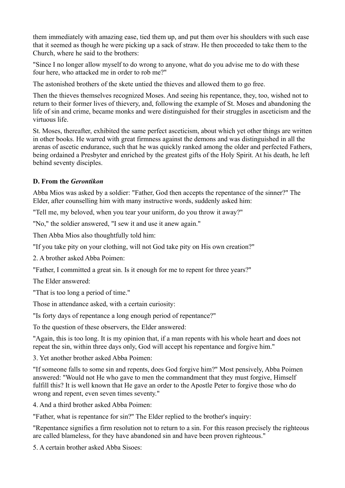them immediately with amazing ease, tied them up, and put them over his shoulders with such ease that it seemed as though he were picking up a sack of straw. He then proceeded to take them to the Church, where he said to the brothers:

"Since I no longer allow myself to do wrong to anyone, what do you advise me to do with these four here, who attacked me in order to rob me?"

The astonished brothers of the skete untied the thieves and allowed them to go free.

Then the thieves themselves recognized Moses. And seeing his repentance, they, too, wished not to return to their former lives of thievery, and, following the example of St. Moses and abandoning the life of sin and crime, became monks and were distinguished for their struggles in asceticism and the virtuous life.

St. Moses, thereafter, exhibited the same perfect asceticism, about which yet other things are written in other books. He warred with great firmness against the demons and was distinguished in all the arenas of ascetic endurance, such that he was quickly ranked among the older and perfected Fathers, being ordained a Presbyter and enriched by the greatest gifts of the Holy Spirit. At his death, he left behind seventy disciples.

## **D. From the** *Gerontikon*

Abba Mios was asked by a soldier: "Father, God then accepts the repentance of the sinner?" The Elder, after counselling him with many instructive words, suddenly asked him:

"Tell me, my beloved, when you tear your uniform, do you throw it away?"

"No," the soldier answered, "I sew it and use it anew again."

Then Abba Mios also thoughtfully told him:

"If you take pity on your clothing, will not God take pity on His own creation?"

2. A brother asked Abba Poimen:

"Father, I committed a great sin. Is it enough for me to repent for three years?"

The Elder answered:

"That is too long a period of time."

Those in attendance asked, with a certain curiosity:

"Is forty days of repentance a long enough period of repentance?"

To the question of these observers, the Elder answered:

"Again, this is too long. It is my opinion that, if a man repents with his whole heart and does not repeat the sin, within three days only, God will accept his repentance and forgive him."

3. Yet another brother asked Abba Poimen:

"If someone falls to some sin and repents, does God forgive him?" Most pensively, Abba Poimen answered: "Would not He who gave to men the commandment that they must forgive, Himself fulfill this? It is well known that He gave an order to the Apostle Peter to forgive those who do wrong and repent, even seven times seventy."

4. And a third brother asked Abba Poimen:

"Father, what is repentance for sin?" The Elder replied to the brother's inquiry:

"Repentance signifies a firm resolution not to return to a sin. For this reason precisely the righteous are called blameless, for they have abandoned sin and have been proven righteous."

5. A certain brother asked Abba Sisoes: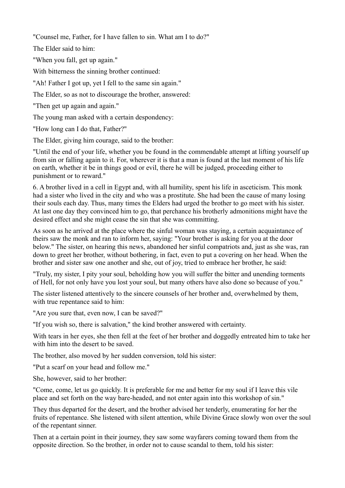"Counsel me, Father, for I have fallen to sin. What am I to do?"

The Elder said to him:

"When you fall, get up again."

With bitterness the sinning brother continued:

"Ah! Father I got up, yet I fell to the same sin again."

The Elder, so as not to discourage the brother, answered:

"Then get up again and again."

The young man asked with a certain despondency:

"How long can I do that, Father?"

The Elder, giving him courage, said to the brother:

"Until the end of your life, whether you be found in the commendable attempt at lifting yourself up from sin or falling again to it. For, wherever it is that a man is found at the last moment of his life on earth, whether it be in things good or evil, there he will be judged, proceeding either to punishment or to reward."

6. A brother lived in a cell in Egypt and, with all humility, spent his life in asceticism. This monk had a sister who lived in the city and who was a prostitute. She had been the cause of many losing their souls each day. Thus, many times the Elders had urged the brother to go meet with his sister. At last one day they convinced him to go, that perchance his brotherly admonitions might have the desired effect and she might cease the sin that she was committing.

As soon as he arrived at the place where the sinful woman was staying, a certain acquaintance of theirs saw the monk and ran to inform her, saying: "Your brother is asking for you at the door below." The sister, on hearing this news, abandoned her sinful compatriots and, just as she was, ran down to greet her brother, without bothering, in fact, even to put a covering on her head. When the brother and sister saw one another and she, out of joy, tried to embrace her brother, he said:

"Truly, my sister, I pity your soul, beholding how you will suffer the bitter and unending torments of Hell, for not only have you lost your soul, but many others have also done so because of you."

The sister listened attentively to the sincere counsels of her brother and, overwhelmed by them, with true repentance said to him:

"Are you sure that, even now, I can be saved?"

"If you wish so, there is salvation," the kind brother answered with certainty.

With tears in her eyes, she then fell at the feet of her brother and doggedly entreated him to take her with him into the desert to be saved.

The brother, also moved by her sudden conversion, told his sister:

"Put a scarf on your head and follow me."

She, however, said to her brother:

"Come, come, let us go quickly. It is preferable for me and better for my soul if I leave this vile place and set forth on the way bare-headed, and not enter again into this workshop of sin."

They thus departed for the desert, and the brother advised her tenderly, enumerating for her the fruits of repentance. She listened with silent attention, while Divine Grace slowly won over the soul of the repentant sinner.

Then at a certain point in their journey, they saw some wayfarers coming toward them from the opposite direction. So the brother, in order not to cause scandal to them, told his sister: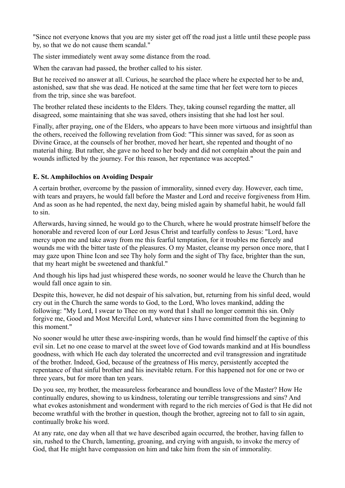"Since not everyone knows that you are my sister get off the road just a little until these people pass by, so that we do not cause them scandal."

The sister immediately went away some distance from the road.

When the caravan had passed, the brother called to his sister.

But he received no answer at all. Curious, he searched the place where he expected her to be and, astonished, saw that she was dead. He noticed at the same time that her feet were torn to pieces from the trip, since she was barefoot.

The brother related these incidents to the Elders. They, taking counsel regarding the matter, all disagreed, some maintaining that she was saved, others insisting that she had lost her soul.

Finally, after praying, one of the Elders, who appears to have been more virtuous and insightful than the others, received the following revelation from God: "This sinner was saved, for as soon as Divine Grace, at the counsels of her brother, moved her heart, she repented and thought of no material thing. But rather, she gave no heed to her body and did not complain about the pain and wounds inflicted by the journey. For this reason, her repentance was accepted."

#### **E. St. Amphilochios on Avoiding Despair**

A certain brother, overcome by the passion of immorality, sinned every day. However, each time, with tears and prayers, he would fall before the Master and Lord and receive forgiveness from Him. And as soon as he had repented, the next day, being misled again by shameful habit, he would fall to sin.

Afterwards, having sinned, he would go to the Church, where he would prostrate himself before the honorable and revered Icon of our Lord Jesus Christ and tearfully confess to Jesus: "Lord, have mercy upon me and take away from me this fearful temptation, for it troubles me fiercely and wounds me with the bitter taste of the pleasures. O my Master, cleanse my person once more, that I may gaze upon Thine Icon and see Thy holy form and the sight of Thy face, brighter than the sun, that my heart might be sweetened and thankful."

And though his lips had just whispered these words, no sooner would he leave the Church than he would fall once again to sin.

Despite this, however, he did not despair of his salvation, but, returning from his sinful deed, would cry out in the Church the same words to God, to the Lord, Who loves mankind, adding the following: "My Lord, I swear to Thee on my word that I shall no longer commit this sin. Only forgive me, Good and Most Merciful Lord, whatever sins I have committed from the beginning to this moment."

No sooner would he utter these awe-inspiring words, than he would find himself the captive of this evil sin. Let no one cease to marvel at the sweet love of God towards mankind and at His boundless goodness, with which He each day tolerated the uncorrected and evil transgression and ingratitude of the brother. Indeed, God, because of the greatness of His mercy, persistently accepted the repentance of that sinful brother and his inevitable return. For this happened not for one or two or three years, but for more than ten years.

Do you see, my brother, the measureless forbearance and boundless love of the Master? How He continually endures, showing to us kindness, tolerating our terrible transgressions and sins? And what evokes astonishment and wonderment with regard to the rich mercies of God is that He did not become wrathful with the brother in question, though the brother, agreeing not to fall to sin again, continually broke his word.

At any rate, one day when all that we have described again occurred, the brother, having fallen to sin, rushed to the Church, lamenting, groaning, and crying with anguish, to invoke the mercy of God, that He might have compassion on him and take him from the sin of immorality.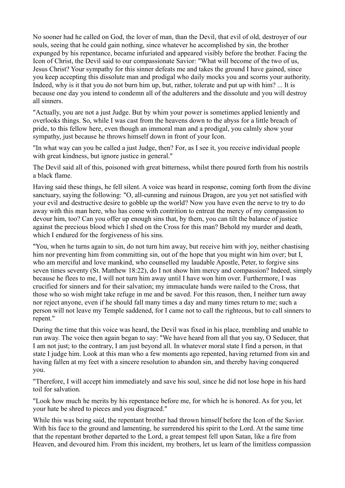No sooner had he called on God, the lover of man, than the Devil, that evil of old, destroyer of our souls, seeing that he could gain nothing, since whatever he accomplished by sin, the brother expunged by his repentance, became infuriated and appeared visibly before the brother. Facing the Icon of Christ, the Devil said to our compassionate Savior: "What will become of the two of us, Jesus Christ? Your sympathy for this sinner defeats me and takes the ground I have gained, since you keep accepting this dissolute man and prodigal who daily mocks you and scorns your authority. Indeed, why is it that you do not burn him up, but, rather, tolerate and put up with him? ... It is because one day you intend to condemn all of the adulterers and the dissolute and you will destroy all sinners.

"Actually, you are not a just Judge. But by whim your power is sometimes applied leniently and overlooks things. So, while I was cast from the heavens down to the abyss for a little breach of pride, to this fellow here, even though an immoral man and a prodigal, you calmly show your sympathy, just because he throws himself down in front of your Icon.

"In what way can you be called a just Judge, then? For, as I see it, you receive individual people with great kindness, but ignore justice in general."

The Devil said all of this, poisoned with great bitterness, whilst there poured forth from his nostrils a black flame.

Having said these things, he fell silent. A voice was heard in response, coming forth from the divine sanctuary, saying the following: "O, all-cunning and ruinous Dragon, are you yet not satisfied with your evil and destructive desire to gobble up the world? Now you have even the nerve to try to do away with this man here, who has come with contrition to entreat the mercy of my compassion to devour him, too? Can you offer up enough sins that, by them, you can tilt the balance of justice against the precious blood which I shed on the Cross for this man? Behold my murder and death, which I endured for the forgiveness of his sins.

"You, when he turns again to sin, do not turn him away, but receive him with joy, neither chastising him nor preventing him from committing sin, out of the hope that you might win him over; but I, who am merciful and love mankind, who counselled my laudable Apostle, Peter, to forgive sins seven times seventy (St. Matthew 18:22), do I not show him mercy and compassion? Indeed, simply because he flees to me, I will not turn him away until I have won him over. Furthermore, I was crucified for sinners and for their salvation; my immaculate hands were nailed to the Cross, that those who so wish might take refuge in me and be saved. For this reason, then, I neither turn away nor reject anyone, even if he should fall many times a day and many times return to me; such a person will not leave my Temple saddened, for I came not to call the righteous, but to call sinners to repent."

During the time that this voice was heard, the Devil was fixed in his place, trembling and unable to run away. The voice then again began to say: "We have heard from all that you say, O Seducer, that I am not just; to the contrary, I am just beyond all. In whatever moral state I find a person, in that state I judge him. Look at this man who a few moments ago repented, having returned from sin and having fallen at my feet with a sincere resolution to abandon sin, and thereby having conquered you.

"Therefore, I will accept him immediately and save his soul, since he did not lose hope in his hard toil for salvation.

"Look how much he merits by his repentance before me, for which he is honored. As for you, let your hate be shred to pieces and you disgraced."

While this was being said, the repentant brother had thrown himself before the Icon of the Savior. With his face to the ground and lamenting, he surrendered his spirit to the Lord. At the same time that the repentant brother departed to the Lord, a great tempest fell upon Satan, like a fire from Heaven, and devoured him. From this incident, my brothers, let us learn of the limitless compassion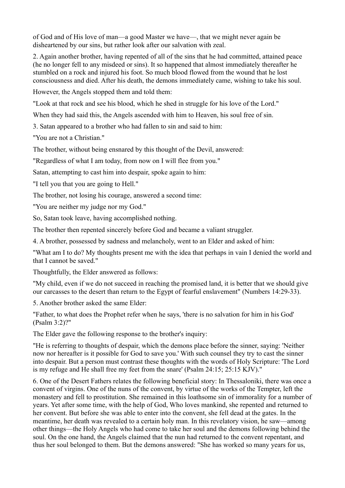of God and of His love of man—a good Master we have—, that we might never again be disheartened by our sins, but rather look after our salvation with zeal.

2. Again another brother, having repented of all of the sins that he had committed, attained peace (he no longer fell to any misdeed or sins). It so happened that almost immediately thereafter he stumbled on a rock and injured his foot. So much blood flowed from the wound that he lost consciousness and died. After his death, the demons immediately came, wishing to take his soul.

However, the Angels stopped them and told them:

"Look at that rock and see his blood, which he shed in struggle for his love of the Lord."

When they had said this, the Angels ascended with him to Heaven, his soul free of sin.

3. Satan appeared to a brother who had fallen to sin and said to him:

"You are not a Christian."

The brother, without being ensnared by this thought of the Devil, answered:

"Regardless of what I am today, from now on I will flee from you."

Satan, attempting to cast him into despair, spoke again to him:

"I tell you that you are going to Hell."

The brother, not losing his courage, answered a second time:

"You are neither my judge nor my God."

So, Satan took leave, having accomplished nothing.

The brother then repented sincerely before God and became a valiant struggler.

4. A brother, possessed by sadness and melancholy, went to an Elder and asked of him:

"What am I to do? My thoughts present me with the idea that perhaps in vain I denied the world and that I cannot be saved."

Thoughtfully, the Elder answered as follows:

"My child, even if we do not succeed in reaching the promised land, it is better that we should give our carcasses to the desert than return to the Egypt of fearful enslavement" (Numbers 14:29-33).

5. Another brother asked the same Elder:

"Father, to what does the Prophet refer when he says, 'there is no salvation for him in his God' (Psalm 3:2)?"

The Elder gave the following response to the brother's inquiry:

"He is referring to thoughts of despair, which the demons place before the sinner, saying: 'Neither now nor hereafter is it possible for God to save you.' With such counsel they try to cast the sinner into despair. But a person must contrast these thoughts with the words of Holy Scripture: 'The Lord is my refuge and He shall free my feet from the snare' (Psalm 24:15; 25:15 KJV)."

6. One of the Desert Fathers relates the following beneficial story: In Thessaloniki, there was once a convent of virgins. One of the nuns of the convent, by virtue of the works of the Tempter, left the monastery and fell to prostitution. She remained in this loathsome sin of immorality for a number of years. Yet after some time, with the help of God, Who loves mankind, she repented and returned to her convent. But before she was able to enter into the convent, she fell dead at the gates. In the meantime, her death was revealed to a certain holy man. In this revelatory vision, he saw—among other things—the Holy Angels who had come to take her soul and the demons following behind the soul. On the one hand, the Angels claimed that the nun had returned to the convent repentant, and thus her soul belonged to them. But the demons answered: "She has worked so many years for us,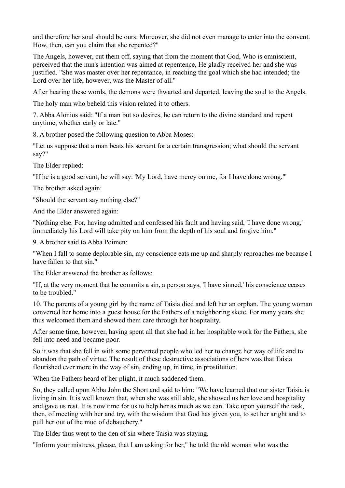and therefore her soul should be ours. Moreover, she did not even manage to enter into the convent. How, then, can you claim that she repented?"

The Angels, however, cut them off, saying that from the moment that God, Who is omniscient, perceived that the nun's intention was aimed at repentence, He gladly received her and she was justified. "She was master over her repentance, in reaching the goal which she had intended; the Lord over her life, however, was the Master of all."

After hearing these words, the demons were thwarted and departed, leaving the soul to the Angels.

The holy man who beheld this vision related it to others.

7. Abba Alonios said: "If a man but so desires, he can return to the divine standard and repent anytime, whether early or late."

8. A brother posed the following question to Abba Moses:

"Let us suppose that a man beats his servant for a certain transgression; what should the servant say?"

The Elder replied:

"If he is a good servant, he will say: 'My Lord, have mercy on me, for I have done wrong."'

The brother asked again:

"Should the servant say nothing else?"

And the Elder answered again:

"Nothing else. For, having admitted and confessed his fault and having said, 'I have done wrong,' immediately his Lord will take pity on him from the depth of his soul and forgive him."

9. A brother said to Abba Poimen:

"When I fall to some deplorable sin, my conscience eats me up and sharply reproaches me because I have fallen to that sin."

The Elder answered the brother as follows:

"If, at the very moment that he commits a sin, a person says, 'I have sinned,' his conscience ceases to be troubled."

10. The parents of a young girl by the name of Taisia died and left her an orphan. The young woman converted her home into a guest house for the Fathers of a neighboring skete. For many years she thus welcomed them and showed them care through her hospitality.

After some time, however, having spent all that she had in her hospitable work for the Fathers, she fell into need and became poor.

So it was that she fell in with some perverted people who led her to change her way of life and to abandon the path of virtue. The result of these destructive associations of hers was that Taisia flourished ever more in the way of sin, ending up, in time, in prostitution.

When the Fathers heard of her plight, it much saddened them.

So, they called upon Abba John the Short and said to him: "We have learned that our sister Taisia is living in sin. It is well known that, when she was still able, she showed us her love and hospitality and gave us rest. It is now time for us to help her as much as we can. Take upon yourself the task, then, of meeting with her and try, with the wisdom that God has given you, to set her aright and to pull her out of the mud of debauchery."

The Elder thus went to the den of sin where Taisia was staying.

"Inform your mistress, please, that I am asking for her," he told the old woman who was the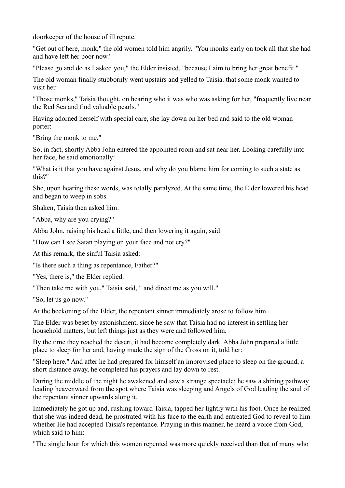doorkeeper of the house of ill repute.

"Get out of here, monk," the old women told him angrily. "You monks early on took all that she had and have left her poor now."

"Please go and do as I asked you," the Elder insisted, "because I aim to bring her great benefit."

The old woman finally stubbornly went upstairs and yelled to Taisia. that some monk wanted to visit her.

"Those monks," Taisia thought, on hearing who it was who was asking for her, "frequently live near the Red Sea and find valuable pearls."

Having adorned herself with special care, she lay down on her bed and said to the old woman porter:

"Bring the monk to me."

So, in fact, shortly Abba John entered the appointed room and sat near her. Looking carefully into her face, he said emotionally:

"What is it that you have against Jesus, and why do you blame him for coming to such a state as this?"

She, upon hearing these words, was totally paralyzed. At the same time, the Elder lowered his head and began to weep in sobs.

Shaken, Taisia then asked him:

"Abba, why are you crying?"

Abba John, raising his head a little, and then lowering it again, said:

"How can I see Satan playing on your face and not cry?"

At this remark, the sinful Taisia asked:

"Is there such a thing as repentance, Father?"

"Yes, there is," the Elder replied.

"Then take me with you," Taisia said, " and direct me as you will."

"So, let us go now."

At the beckoning of the Elder, the repentant sinner immediately arose to follow him.

The Elder was beset by astonishment, since he saw that Taisia had no interest in settling her household matters, but left things just as they were and followed him.

By the time they reached the desert, it had become completely dark. Abba John prepared a little place to sleep for her and, having made the sign of the Cross on it, told her:

"Sleep here." And after he had prepared for himself an improvised place to sleep on the ground, a short distance away, he completed his prayers and lay down to rest.

During the middle of the night he awakened and saw a strange spectacle; he saw a shining pathway leading heavenward from the spot where Taisia was sleeping and Angels of God leading the soul of the repentant sinner upwards along it.

Immediately he got up and, rushing toward Taisia, tapped her lightly with his foot. Once he realized that she was indeed dead, he prostrated with his face to the earth and entreated God to reveal to him whether He had accepted Taisia's repentance. Praying in this manner, he heard a voice from God, which said to him:

"The single hour for which this women repented was more quickly received than that of many who